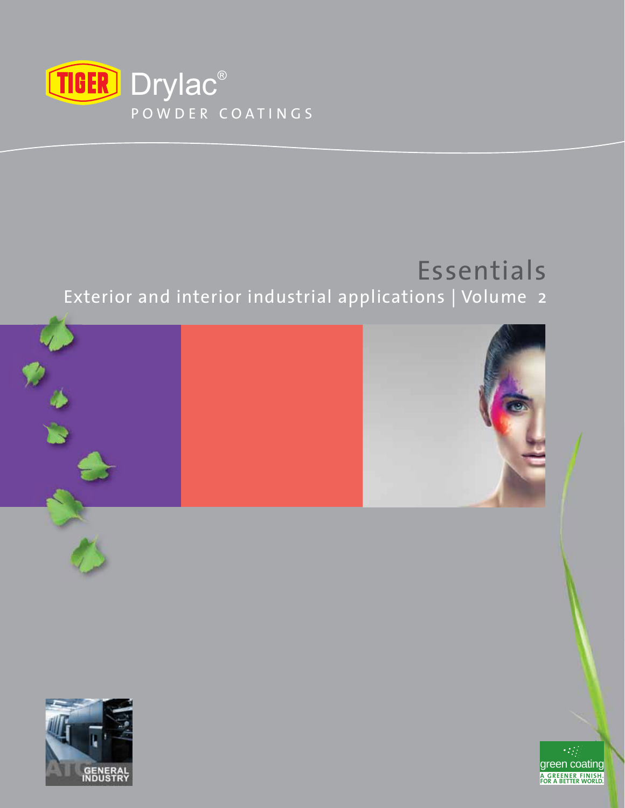

# Essentials

# Exterior and interior industrial applications | Volume 2

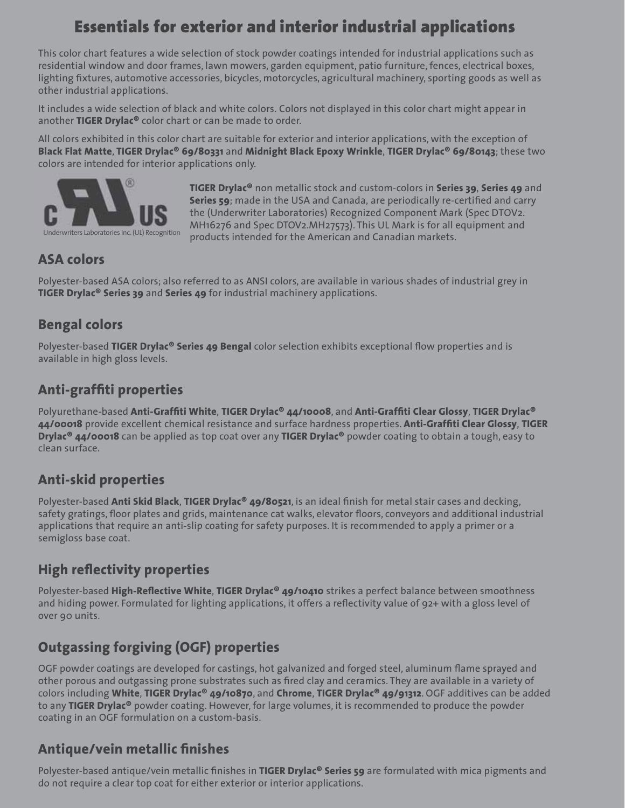# **Essentials for exterior and interior industrial applications**

This color chart features a wide selection of stock powder coatings intended for industrial applications such as residential window and door frames, lawn mowers, garden equipment, patio furniture, fences, electrical boxes, lighting fixtures, automotive accessories, bicycles, motorcycles, agricultural machinery, sporting goods as well as other industrial applications.

It includes a wide selection of black and white colors. Colors not displayed in this color chart might appear in another **TIGER Drylac®** color chart or can be made to order.

All colors exhibited in this color chart are suitable for exterior and interior applications, with the exception of **Black Flat Matte**, **TIGER Drylac® 69/80331** and **Midnight Black Epoxy Wrinkle**, **TIGER Drylac® 69/80143**; these two colors are intended for interior applications only.



**TIGER Drylac®** non metallic stock and custom-colors in **Series 39**, **Series 49** and **Series 59**; made in the USA and Canada, are periodically re-certified and carry the (Underwriter Laboratories) Recognized Component Mark (Spec DTOV2. MH16276 and Spec DTOV2.MH27573). This UL Mark is for all equipment and products intended for the American and Canadian markets.

### **ASA colors**

Polyester-based ASA colors; also referred to as ANSI colors, are available in various shades of industrial grey in **TIGER Drylac® Series 39** and **Series 49** for industrial machinery applications.

# **Bengal colors**

Polyester-based **TIGER Drylac<sup>®</sup> Series 49 Bengal** color selection exhibits exceptional flow properties and is available in high gloss levels.

## **Anti-graffiti properties**

Polyurethane-based **Anti-Graffi ti White**, **TIGER Drylac® 44/10008**, and **Anti-Graffi ti Clear Glossy**, **TIGER Drylac® 44/00018** provide excellent chemical resistance and surface hardness properties. Anti-Graffiti Clear Glossy, TIGER **Drylac® 44/00018** can be applied as top coat over any **TIGER Drylac®** powder coating to obtain a tough, easy to clean surface.

## **Anti-skid properties**

Polyester-based **Anti Skid Black, TIGER Drylac<sup>®</sup> 49/80521**, is an ideal finish for metal stair cases and decking, safety gratings, floor plates and grids, maintenance cat walks, elevator floors, conveyors and additional industrial applications that require an anti-slip coating for safety purposes. It is recommended to apply a primer or a semigloss base coat.

## **High reflectivity properties**

Polyester-based **High-Reflective White, TIGER Drylac<sup>®</sup> 49/10410** strikes a perfect balance between smoothness and hiding power. Formulated for lighting applications, it offers a reflectivity value of 92+ with a gloss level of over 90 units.

# **Outgassing forgiving (OGF) properties**

OGF powder coatings are developed for castings, hot galvanized and forged steel, aluminum flame sprayed and other porous and outgassing prone substrates such as fi red clay and ceramics. They are available in a variety of colors including **White**, **TIGER Drylac® 49/10870**, and **Chrome**, **TIGER Drylac® 49/91312**. OGF additives can be added to any **TIGER Drylac®** powder coating. However, for large volumes, it is recommended to produce the powder coating in an OGF formulation on a custom-basis.

## **Antique/vein metallic finishes**

Polyester-based antique/vein metallic finishes in **TIGER Drylac<sup>®</sup> Series 59** are formulated with mica pigments and do not require a clear top coat for either exterior or interior applications.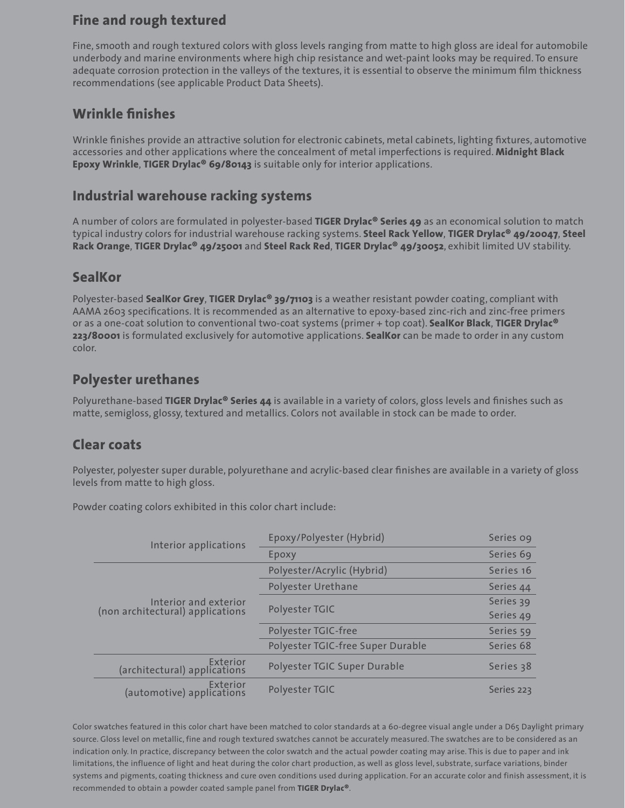### **Fine and rough textured**

Fine, smooth and rough textured colors with gloss levels ranging from matte to high gloss are ideal for automobile underbody and marine environments where high chip resistance and wet-paint looks may be required. To ensure adequate corrosion protection in the valleys of the textures, it is essential to observe the minimum film thickness recommendations (see applicable Product Data Sheets).

### **Wrinkle fi nishes**

Wrinkle finishes provide an attractive solution for electronic cabinets, metal cabinets, lighting fixtures, automotive accessories and other applications where the concealment of metal imperfections is required. **Midnight Black Epoxy Wrinkle**, **TIGER Drylac® 69/80143** is suitable only for interior applications.

### **Industrial warehouse racking systems**

A number of colors are formulated in polyester-based **TIGER Drylac® Series 49** as an economical solution to match typical industry colors for industrial warehouse racking systems. **Steel Rack Yellow**, **TIGER Drylac® 49/20047**, **Steel Rack Orange**, **TIGER Drylac® 49/25001** and **Steel Rack Red**, **TIGER Drylac® 49/30052**, exhibit limited UV stability.

#### **SealKor**

Polyester-based **SealKor Grey**, **TIGER Drylac® 39/71103** is a weather resistant powder coating, compliant with AAMA 2603 specifications. It is recommended as an alternative to epoxy-based zinc-rich and zinc-free primers or as a one-coat solution to conventional two-coat systems (primer + top coat). **SealKor Black**, **TIGER Drylac® 223/80001** is formulated exclusively for automotive applications. **SealKor** can be made to order in any custom color.

#### **Polyester urethanes**

Polyurethane-based **TIGER Drylac<sup>®</sup> Series 44** is available in a variety of colors, gloss levels and finishes such as matte, semigloss, glossy, textured and metallics. Colors not available in stock can be made to order.

### **Clear coats**

Polyester, polyester super durable, polyurethane and acrylic-based clear finishes are available in a variety of gloss levels from matte to high gloss.

Powder coating colors exhibited in this color chart include:

| Interior applications                                     | Epoxy/Polyester (Hybrid)          | Series og  |
|-----------------------------------------------------------|-----------------------------------|------------|
|                                                           | Epoxy                             | Series 69  |
| Interior and exterior<br>(non architectural) applications | Polyester/Acrylic (Hybrid)        | Series 16  |
|                                                           | Polyester Urethane                | Series 44  |
|                                                           | Polyester TGIC                    | Series 39  |
|                                                           |                                   | Series 49  |
|                                                           | Polyester TGIC-free               | Series 59  |
|                                                           | Polyester TGIC-free Super Durable | Series 68  |
| Exterior<br>(architectural) applications                  | Polyester TGIC Super Durable      | Series 38  |
| Exterior<br>(automotive) applications                     | Polyester TGIC                    | Series 223 |

Color swatches featured in this color chart have been matched to color standards at a 60-degree visual angle under a D65 Daylight primary source. Gloss level on metallic, fine and rough textured swatches cannot be accurately measured. The swatches are to be considered as an indication only. In practice, discrepancy between the color swatch and the actual powder coating may arise. This is due to paper and ink limitations, the influence of light and heat during the color chart production, as well as gloss level, substrate, surface variations, binder systems and pigments, coating thickness and cure oven conditions used during application. For an accurate color and finish assessment, it is recommended to obtain a powder coated sample panel from **TIGER Drylac®**.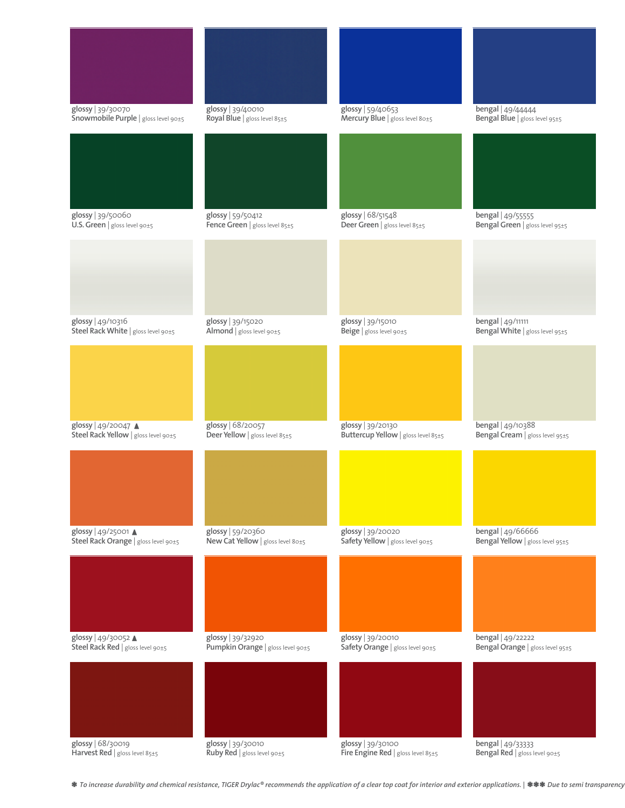

**\*** *To increase durability and chemical resistance, TIGER Drylac® recommends the application of a clear top coat for interior and exterior applications. |* **\*\*\*** *Due to semi transparency*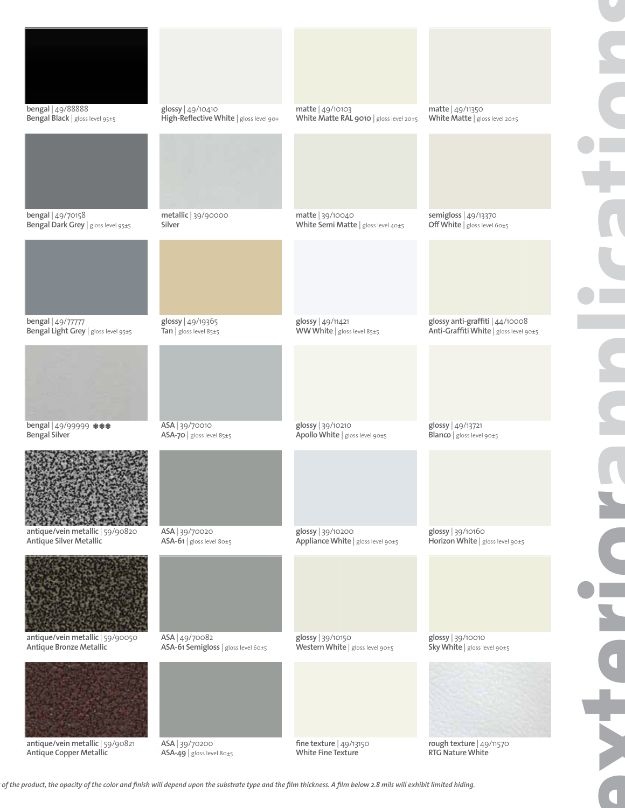

*of the product, the opacity of the color and finish will depend upon the substrate type and the film thickness. A film below 2.8 mils will exhibit limited hiding.*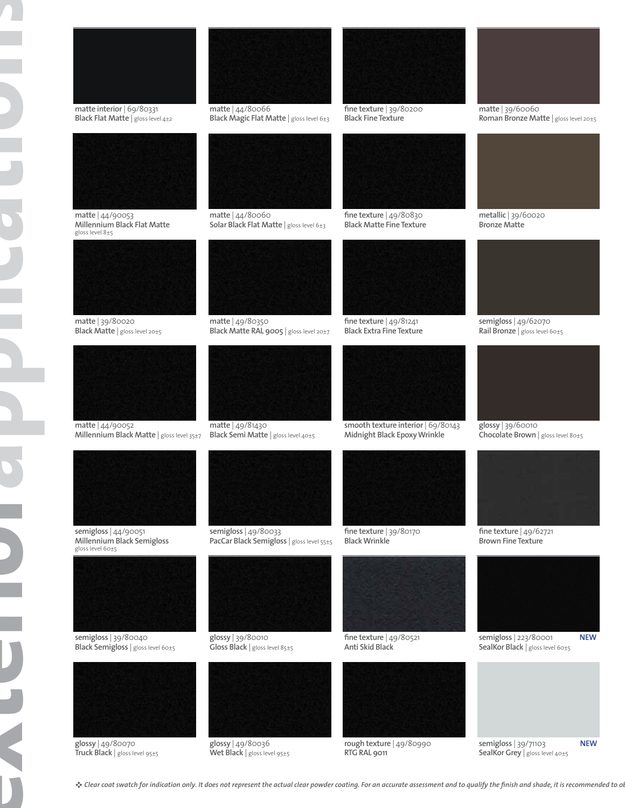





**Bronze Matte**



**semigloss** | 49/62070 **Rail Bronze** | gloss level 60±5



**glossy** | 39/60010 **Chocolate Brown** | gloss level 80±5



**fi ne texture** | 49/62721 **Brown Fine Texture** 



**semigloss** | 223/80001 **NEW**



**SealKor Grey** | gloss level 40±5

**semigloss** | 39/80040 **Black Semigloss** | gloss level 60±5



**glossy** | 49/80070 **Truck Black** | gloss level 95±5



**glossy** | 49/80036 **Wet Black** | gloss level 95±5



**rough texture** | 49/80990 **RTG RAL 9011**



**SealKor Black** | gloss level 60±5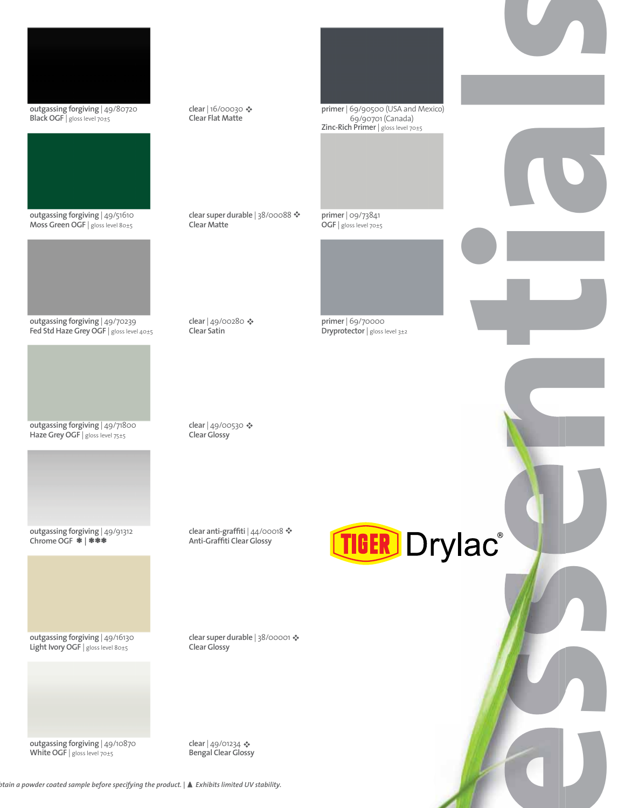

**outgassing forgiving** | 49/80720 **Black OGF** | gloss level 70±5



**outgassing forgiving** | 49/51610 **Moss Green OGF** | gloss level 80±5



**outgassing forgiving** | 49/70239 Fed Std Haze Grey OGF | gloss level 40±5



**outgassing forgiving** | 49/71800 Haze Grey OGF | gloss level 75±5



**outgassing forgiving** | 49/91312 **Chrome OGF \* | \*\*\***

**outgassing forgiving** | 49/16130 Light Ivory OGF | gloss level 80±5



**outgassing forgiving** | 49/10870 **White OGF** | gloss level 70±5

clear | 16/00030 < **Clear Flat Matte** 

clear super durable | 38/00088 <sup>·</sup>

**Clear Matte**

clear | 49/00280 � **Clear Satin** 

clear | 49/00530 � **Clear Glossy**

**primer** | 69/90500 (USA and Mexico) 69/90701 (Canada) **Zinc-Rich Primer** | gloss level 70±5

**s**

**primer** | 09/73841 **OGF** | gloss level 70±5



**primer** | 69/70000 **Dryprotector** | gloss level 3±2

**essential** TIGER Drylac®

clear super durable | 38/00001 � **Clear Glossy**

clear anti-graffiti | 44/00018  $\clubsuit$ **Anti-Graffiti Clear Glossy** 

clear | 49/01234 < **Bengal Clear Glossy** 

*Exhibits limited UV stability. btain a powder coated sample before specifying the product. |*